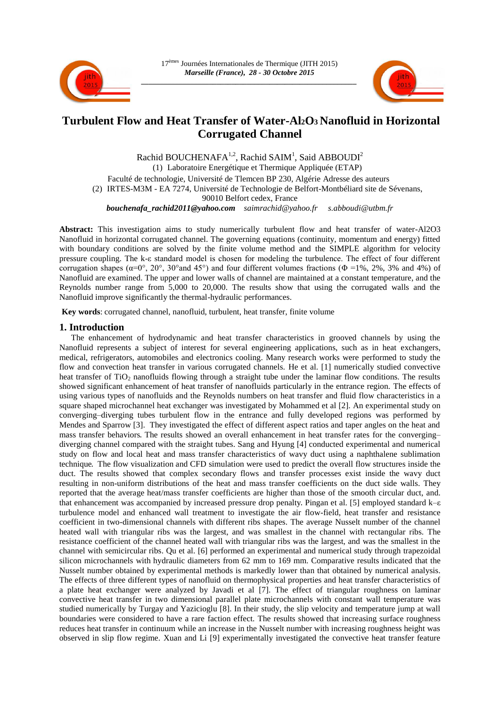



# **Turbulent Flow and Heat Transfer of Water-Al2O3 Nanofluid in Horizontal Corrugated Channel**

Rachid BOUCHENAFA<sup>1,2</sup>, Rachid SAIM<sup>1</sup>, Said ABBOUDI<sup>2</sup> (1) Laboratoire Energétique et Thermique Appliquée (ETAP) Faculté de technologie, Université de Tlemcen BP 230, Algérie Adresse des auteurs (2) IRTES-M3M - EA 7274, Université de Technologie de Belfort-Montbéliard site de Sévenans, 90010 Belfort cedex, France *bouchenafa\_rachid2011@yahoo.com saimrachid@yahoo.fr s.abboudi@utbm.fr* 

**Abstract:** This investigation aims to study numerically turbulent flow and heat transfer of water-Al2O3 Nanofluid in horizontal corrugated channel. The governing equations (continuity, momentum and energy) fitted with boundary conditions are solved by the finite volume method and the SIMPLE algorithm for velocity pressure coupling. The k-ε standard model is chosen for modeling the turbulence. The effect of four different corrugation shapes ( $\alpha=0^{\circ}$ ,  $20^{\circ}$ ,  $30^{\circ}$  and  $45^{\circ}$ ) and four different volumes fractions ( $\Phi =1\%$ ,  $2\%$ ,  $3\%$  and  $4\%$ ) of Nanofluid are examined. The upper and lower walls of channel are maintained at a constant temperature, and the Reynolds number range from 5,000 to 20,000. The results show that using the corrugated walls and the Nanofluid improve significantly the thermal-hydraulic performances.

**Key words**: corrugated channel, nanofluid, turbulent, heat transfer, finite volume

# **1. Introduction**

The enhancement of hydrodynamic and heat transfer characteristics in grooved channels by using the Nanofluid represents a subject of interest for several engineering applications, such as in heat exchangers, medical, refrigerators, automobiles and electronics cooling. Many research works were performed to study the flow and convection heat transfer in various corrugated channels. He et al. [1] numerically studied convective heat transfer of  $TiO<sub>2</sub>$  nanofluids flowing through a straight tube under the laminar flow conditions. The results showed significant enhancement of heat transfer of nanofluids particularly in the entrance region. The effects of using various types of nanofluids and the Reynolds numbers on heat transfer and fluid flow characteristics in a square shaped microchannel heat exchanger was investigated by Mohammed et al [2]. An experimental study on converging–diverging tubes turbulent flow in the entrance and fully developed regions was performed by Mendes and Sparrow [3]. They investigated the effect of different aspect ratios and taper angles on the heat and mass transfer behaviors. The results showed an overall enhancement in heat transfer rates for the converging– diverging channel compared with the straight tubes. Sang and Hyung [4] conducted experimental and numerical study on flow and local heat and mass transfer characteristics of wavy duct using a naphthalene sublimation technique. The flow visualization and CFD simulation were used to predict the overall flow structures inside the duct. The results showed that complex secondary flows and transfer processes exist inside the wavy duct resulting in non-uniform distributions of the heat and mass transfer coefficients on the duct side walls. They reported that the average heat/mass transfer coefficients are higher than those of the smooth circular duct, and. that enhancement was accompanied by increased pressure drop penalty. Pingan et al. [5] employed standard k–ε turbulence model and enhanced wall treatment to investigate the air flow-field, heat transfer and resistance coefficient in two-dimensional channels with different ribs shapes. The average Nusselt number of the channel heated wall with triangular ribs was the largest, and was smallest in the channel with rectangular ribs. The resistance coefficient of the channel heated wall with triangular ribs was the largest, and was the smallest in the channel with semicircular ribs. Qu et al. [6] performed an experimental and numerical study through trapezoidal silicon microchannels with hydraulic diameters from 62 mm to 169 mm. Comparative results indicated that the Nusselt number obtained by experimental methods is markedly lower than that obtained by numerical analysis. The effects of three different types of nanofluid on thermophysical properties and heat transfer characteristics of a plate heat exchanger were analyzed by Javadi et al [7]. The effect of triangular roughness on laminar convective heat transfer in two dimensional parallel plate microchannels with constant wall temperature was studied numerically by Turgay and Yazicioglu [8]. In their study, the slip velocity and temperature jump at wall boundaries were considered to have a rare faction effect. The results showed that increasing surface roughness reduces heat transfer in continuum while an increase in the Nusselt number with increasing roughness height was observed in slip flow regime. Xuan and Li [9] experimentally investigated the convective heat transfer feature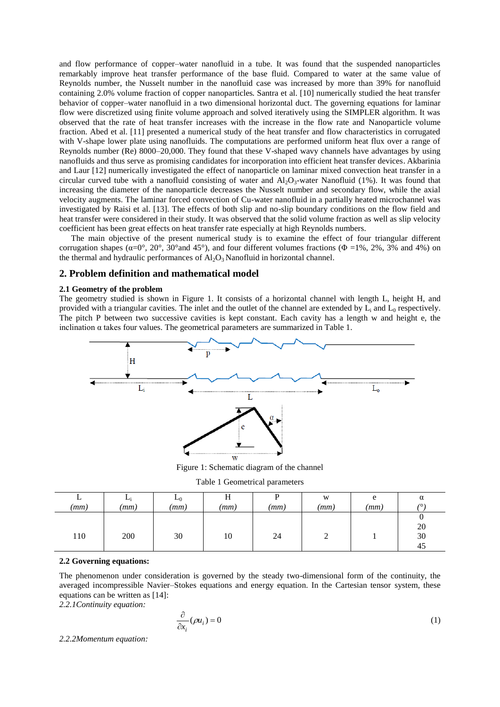and flow performance of copper–water nanofluid in a tube. It was found that the suspended nanoparticles remarkably improve heat transfer performance of the base fluid. Compared to water at the same value of Reynolds number, the Nusselt number in the nanofluid case was increased by more than 39% for nanofluid containing 2.0% volume fraction of copper nanoparticles. Santra et al. [10] numerically studied the heat transfer behavior of copper–water nanofluid in a two dimensional horizontal duct. The governing equations for laminar flow were discretized using finite volume approach and solved iteratively using the SIMPLER algorithm. It was observed that the rate of heat transfer increases with the increase in the flow rate and Nanoparticle volume fraction. Abed et al. [11] presented a numerical study of the heat transfer and flow characteristics in corrugated with V-shape lower plate using nanofluids. The computations are performed uniform heat flux over a range of Reynolds number (Re) 8000–20,000. They found that these V-shaped wavy channels have advantages by using nanofluids and thus serve as promising candidates for incorporation into efficient heat transfer devices. Akbarinia and Laur [12] numerically investigated the effect of nanoparticle on laminar mixed convection heat transfer in a circular curved tube with a nanofluid consisting of water and  $Al_2O_3$ -water Nanofluid (1%). It was found that increasing the diameter of the nanoparticle decreases the Nusselt number and secondary flow, while the axial velocity augments. The laminar forced convection of Cu-water nanofluid in a partially heated microchannel was investigated by Raisi et al. [13]. The effects of both slip and no-slip boundary conditions on the flow field and heat transfer were considered in their study. It was observed that the solid volume fraction as well as slip velocity coefficient has been great effects on heat transfer rate especially at high Reynolds numbers.

The main objective of the present numerical study is to examine the effect of four triangular different corrugation shapes ( $\alpha=0^{\circ}$ ,  $20^{\circ}$ ,  $30^{\circ}$  and  $45^{\circ}$ ), and four different volumes fractions ( $\Phi =1\%$ ,  $2\%$ ,  $3\%$  and  $4\%$ ) on the thermal and hydraulic performances of  $Al_2O_3$  Nanofluid in horizontal channel.

# **2. Problem definition and mathematical model**

### **2.1 Geometry of the problem**

The geometry studied is shown in Figure 1. It consists of a horizontal channel with length L, height H, and provided with a triangular cavities. The inlet and the outlet of the channel are extended by  $L_i$  and  $L_0$  respectively. The pitch P between two successive cavities is kept constant. Each cavity has a length w and height e, the inclination  $\alpha$  takes four values. The geometrical parameters are summarized in Table 1.



Figure 1: Schematic diagram of the channel

|  | Table 1 Geometrical parameters |  |
|--|--------------------------------|--|
|--|--------------------------------|--|

|      |      | $-0$ | п    |      | W    | e    | α   |
|------|------|------|------|------|------|------|-----|
| (mm) | (mm) | (mm) | (mm) | (mm) | (mm) | (mm) | (0) |
|      |      |      |      |      |      |      | v   |
|      |      |      |      |      |      |      | 20  |
| 110  | 200  | 30   | 10   | 24   | ∼    |      | 30  |
|      |      |      |      |      |      |      | 45  |

## **2.2 Governing equations:**

The phenomenon under consideration is governed by the steady two-dimensional form of the continuity, the averaged incompressible Navier–Stokes equations and energy equation. In the Cartesian tensor system, these equations can be written as [14]:

*2.2.1Continuity equation:*

$$
\frac{\partial}{\partial x_i}(\rho u_i) = 0\tag{1}
$$

*2.2.2Momentum equation:*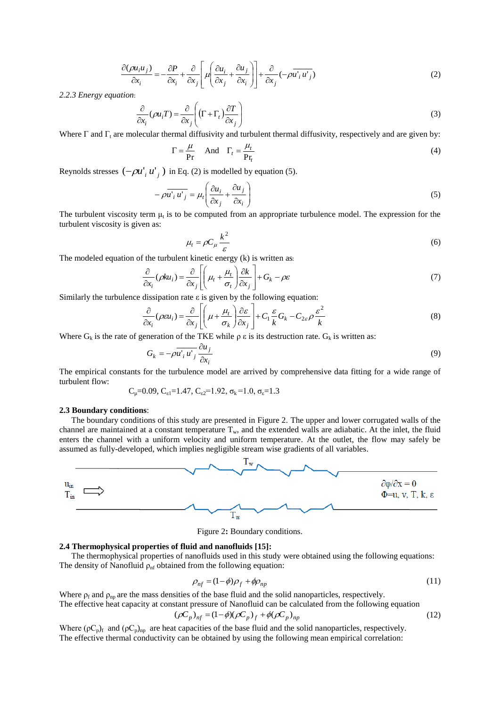$$
\frac{\partial(\rho u_i u_j)}{\partial x_i} = -\frac{\partial P}{\partial x_i} + \frac{\partial}{\partial x_j} \left[ \mu \left( \frac{\partial u_i}{\partial x_j} + \frac{\partial u_j}{\partial x_i} \right) \right] + \frac{\partial}{\partial x_j} \left( -\rho \overline{u'_i u'_j} \right) \tag{2}
$$

*2.2.3 Energy equation*:

$$
\frac{\partial}{\partial x_i}(\rho u_i T) = \frac{\partial}{\partial x_j} \left( (\Gamma + \Gamma_t) \frac{\partial T}{\partial x_j} \right)
$$
\n(3)

Where  $\Gamma$  and  $\Gamma_t$  are molecular thermal diffusivity and turbulent thermal diffusivity, respectively and are given by:

$$
\Gamma = \frac{\mu}{\rho_r} \quad \text{And} \quad \Gamma_t = \frac{\mu_t}{\rho_{r_t}} \tag{4}
$$

Reynolds stresses  $(-\rho u^{\dagger}_{i} u^{\dagger}_{j})$  in Eq. (2) is modelled by equation (5).

$$
-\rho \overline{u_i^* u_j^*} = \mu_i \left( \frac{\partial u_i}{\partial x_j} + \frac{\partial u_j}{\partial x_i} \right)
$$
 (5)

The turbulent viscosity term  $\mu_t$  is to be computed from an appropriate turbulence model. The expression for the turbulent viscosity is given as:

$$
\mu_t = \rho C_\mu \frac{k^2}{\varepsilon} \tag{6}
$$

The modeled equation of the turbulent kinetic energy (k) is written as:

$$
\frac{\partial}{\partial x_i}(\rho k u_i) = \frac{\partial}{\partial x_j} \left[ \left( \mu_t + \frac{\mu_t}{\sigma_t} \right) \frac{\partial k}{\partial x_j} \right] + G_k - \rho \varepsilon \tag{7}
$$

Similarly the turbulence dissipation rate ε is given by the following equation:

$$
\frac{\partial}{\partial x_i}(\rho \varepsilon u_i) = \frac{\partial}{\partial x_j} \left[ \left( \mu + \frac{\mu_t}{\sigma_k} \right) \frac{\partial \varepsilon}{\partial x_j} \right] + C_1 \frac{\varepsilon}{k} G_k - C_{2\varepsilon} \rho \frac{\varepsilon^2}{k}
$$
(8)

Where  $G_k$  is the rate of generation of the TKE while  $\rho \varepsilon$  is its destruction rate.  $G_k$  is written as:

$$
G_k = -\rho \overline{u'_i u'_j} \frac{\partial u_j}{\partial x_i} \tag{9}
$$

The empirical constants for the turbulence model are arrived by comprehensive data fitting for a wide range of turbulent flow:

$$
C_{\mu}
$$
=0.09,  $C_{\epsilon 1}$ =1.47,  $C_{\epsilon 2}$ =1.92,  $\sigma_{\kappa}$ =1.0,  $\sigma_{\epsilon}$ =1.3

#### **2.3 Boundary conditions**:

The boundary conditions of this study are presented in Figure 2. The upper and lower corrugated walls of the channel are maintained at a constant temperature  $T_w$ , and the extended walls are adiabatic. At the inlet, the fluid enters the channel with a uniform velocity and uniform temperature. At the outlet, the flow may safely be assumed as fully-developed, which implies negligible stream wise gradients of all variables.



Figure 2**:** Boundary conditions.

### **2.4 Thermophysical properties of fluid and nanofluids [15]:**

The thermophysical properties of nanofluids used in this study were obtained using the following equations: The density of Nanofluid  $\rho_{\rm nf}$  obtained from the following equation:

$$
\rho_{nf} = (1 - \phi)\rho_f + \phi\rho_{np} \tag{11}
$$

Where  $\rho_f$  and  $\rho_{np}$  are the mass densities of the base fluid and the solid nanoparticles, respectively.

The effective heat capacity at constant pressure of Nanofluid can be calculated from the following equation

$$
(\rho C_p)_{nf} = (1 - \phi)(\rho C_p)_f + \phi(\rho C_p)_{np}
$$
\n(12)

Where ( $pC_p$ )<sub>f</sub> and ( $pC_p$ )<sub>np</sub> are heat capacities of the base fluid and the solid nanoparticles, respectively. The effective thermal conductivity can be obtained by using the following mean empirical correlation: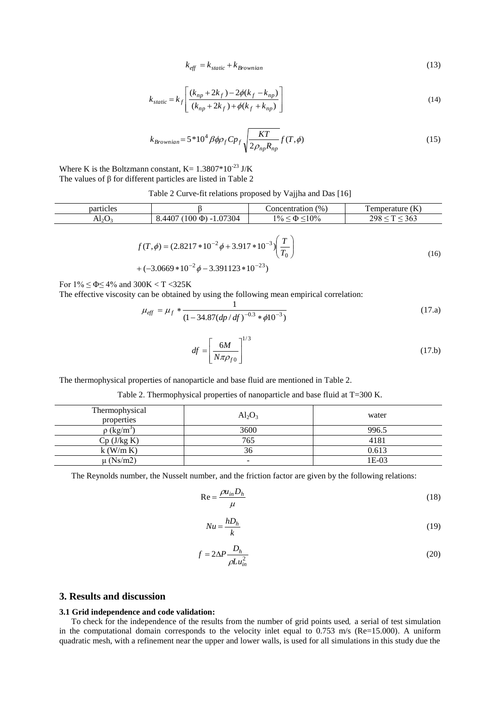$$
k_{\text{eff}} = k_{\text{static}} + k_{\text{Brownian}} \tag{13}
$$

$$
k_{static} = k_f \left[ \frac{(k_{np} + 2k_f) - 2\phi(k_f - k_{np})}{(k_{np} + 2k_f) + \phi(k_f + k_{np})} \right]
$$
(14)

$$
k_{Brownian} = 5*10^4 \beta \phi \rho_f C p_f \sqrt{\frac{KT}{2\rho_{np} R_{np}}} f(T, \phi)
$$
\n(15)

Where K is the Boltzmann constant,  $K = 1.3807*10^{-23}$  J/K The values of β for different particles are listed in Table 2

|  | Table 2 Curve-fit relations proposed by Vajjha and Das [16] |  |  |  |
|--|-------------------------------------------------------------|--|--|--|
|--|-------------------------------------------------------------|--|--|--|

| particles |                              | Concentration (%)       | Temperature $(K)$ |
|-----------|------------------------------|-------------------------|-------------------|
| $Al_2O_3$ | $8.4407(100 \Phi) - 1.07304$ | $1\% \le \Phi \le 10\%$ | 298 < T < 363     |
|           |                              |                         |                   |

$$
f(T, \phi) = (2.8217 * 10^{-2} \phi + 3.917 * 10^{-3}) \left(\frac{T}{T_0}\right)
$$
  
+  $(-3.0669 * 10^{-2} \phi - 3.391123 * 10^{-23})$  (16)

For  $1\% \leq \Phi \leq 4\%$  and  $300K < T < 325K$ 

The effective viscosity can be obtained by using the following mean empirical correlation:

$$
\mu_{\text{eff}} = \mu_f * \frac{1}{(1 - 34.87 (dp/df)^{-0.3} * \phi 10^{-3})}
$$
(17. a)

$$
df = \left[\frac{6M}{N\pi\rho_{f0}}\right]^{1/3} \tag{17.b}
$$

The thermophysical properties of nanoparticle and base fluid are mentioned in Table 2.

| Thermophysical<br>properties | $Al_2O_3$                | water |
|------------------------------|--------------------------|-------|
| $\rho$ (kg/m <sup>3</sup> )  | 3600                     | 996.5 |
| $Cp$ (J/kg K)                | 765                      | 4181  |
| $k$ (W/m K)                  | 36                       | 0.613 |
| $\mu$ (Ns/m2)                | $\overline{\phantom{0}}$ | 1E-03 |

The Reynolds number, the Nusselt number, and the friction factor are given by the following relations:

$$
\text{Re} = \frac{\rho u_{in} D_h}{\mu} \tag{18}
$$

$$
Nu = \frac{hD_h}{k} \tag{19}
$$

$$
f = 2\Delta P \frac{D_h}{\rho L u_{in}^2} \tag{20}
$$

# **3. Results and discussion**

## **3.1 Grid independence and code validation:**

To check for the independence of the results from the number of grid points used, a serial of test simulation in the computational domain corresponds to the velocity inlet equal to  $0.753 \text{ m/s}$  (Re=15.000). A uniform quadratic mesh, with a refinement near the upper and lower walls, is used for all simulations in this study due the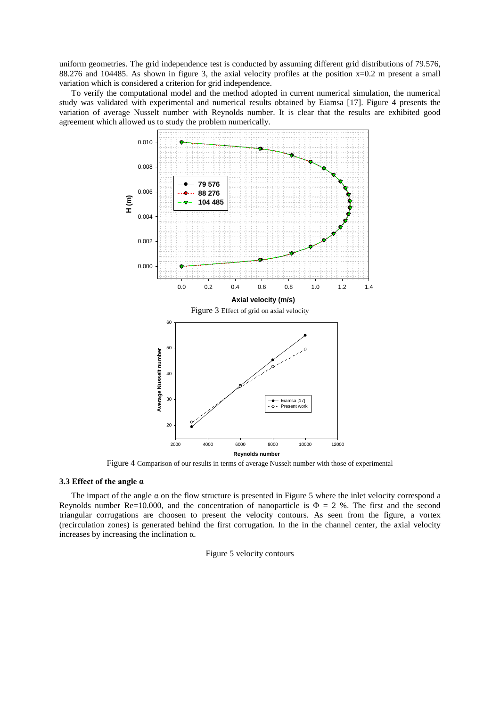uniform geometries. The grid independence test is conducted by assuming different grid distributions of 79.576, 88.276 and 104485. As shown in figure 3, the axial velocity profiles at the position x=0.2 m present a small variation which is considered a criterion for grid independence.

To verify the computational model and the method adopted in current numerical simulation, the numerical study was validated with experimental and numerical results obtained by Eiamsa [17]. Figure 4 presents the variation of average Nusselt number with Reynolds number. It is clear that the results are exhibited good agreement which allowed us to study the problem numerically.



Figure 4 Comparison of our results in terms of average Nusselt number with those of experimental

## **3.3 Effect of the angle α**

The impact of the angle  $\alpha$  on the flow structure is presented in Figure 5 where the inlet velocity correspond a Reynolds number Re=10.000, and the concentration of nanoparticle is  $\Phi = 2$  %. The first and the second triangular corrugations are choosen to present the velocity contours. As seen from the figure, a vortex (recirculation zones) is generated behind the first corrugation. In the in the channel center, the axial velocity increases by increasing the inclination α.

Figure 5 velocity contours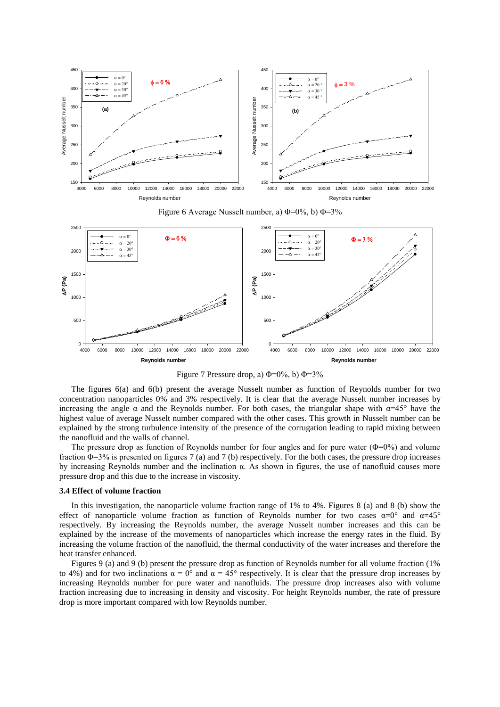

Figure 6 Average Nusselt number, a)  $\Phi$ =0%, b)  $\Phi$ =3%



Figure 7 Pressure drop, a)  $\Phi$ =0%, b)  $\Phi$ =3%

The figures 6(a) and 6(b) present the average Nusselt number as function of Reynolds number for two concentration nanoparticles 0% and 3% respectively. It is clear that the average Nusselt number increases by increasing the angle  $\alpha$  and the Reynolds number. For both cases, the triangular shape with  $\alpha=45^\circ$  have the highest value of average Nusselt number compared with the other cases. This growth in Nusselt number can be explained by the strong turbulence intensity of the presence of the corrugation leading to rapid mixing between the nanofluid and the walls of channel.

The pressure drop as function of Reynolds number for four angles and for pure water  $(\Phi=0\%)$  and volume fraction  $\Phi$ =3% is presented on figures 7 (a) and 7 (b) respectively. For the both cases, the pressure drop increases by increasing Reynolds number and the inclination α. As shown in figures, the use of nanofluid causes more pressure drop and this due to the increase in viscosity.

#### **3.4 Effect of volume fraction**

In this investigation, the nanoparticle volume fraction range of 1% to 4%. Figures 8 (a) and 8 (b) show the effect of nanoparticle volume fraction as function of Reynolds number for two cases  $\alpha=0^{\circ}$  and  $\alpha=45^{\circ}$ respectively. By increasing the Reynolds number, the average Nusselt number increases and this can be explained by the increase of the movements of nanoparticles which increase the energy rates in the fluid. By increasing the volume fraction of the nanofluid, the thermal conductivity of the water increases and therefore the heat transfer enhanced.

Figures 9 (a) and 9 (b) present the pressure drop as function of Reynolds number for all volume fraction (1% to 4%) and for two inclinations  $\alpha = 0^{\circ}$  and  $\alpha = 45^{\circ}$  respectively. It is clear that the pressure drop increases by increasing Reynolds number for pure water and nanofluids. The pressure drop increases also with volume fraction increasing due to increasing in density and viscosity. For height Reynolds number, the rate of pressure drop is more important compared with low Reynolds number.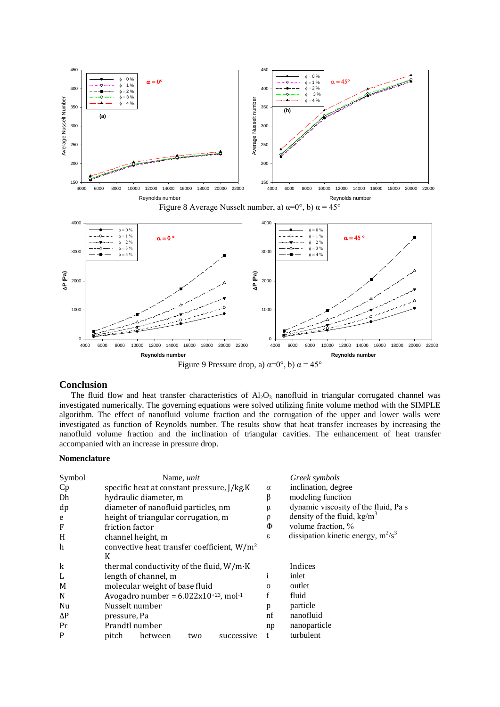

# **Conclusion**

The fluid flow and heat transfer characteristics of  $Al_2O_3$  nanofluid in triangular corrugated channel was investigated numerically. The governing equations were solved utilizing finite volume method with the SIMPLE algorithm. The effect of nanofluid volume fraction and the corrugation of the upper and lower walls were investigated as function of Reynolds number. The results show that heat transfer increases by increasing the nanofluid volume fraction and the inclination of triangular cavities. The enhancement of heat transfer accompanied with an increase in pressure drop.

## **Nomenclature**

| Symbol      |                                                     |                                            | Name, <i>unit</i> |            |                               | Greek symbols                         |
|-------------|-----------------------------------------------------|--------------------------------------------|-------------------|------------|-------------------------------|---------------------------------------|
| <b>Cp</b>   |                                                     | specific heat at constant pressure, J/kg.K |                   |            | $\alpha$                      | inclination, degree                   |
| Dh          |                                                     | hydraulic diameter, m                      |                   |            | β                             | modeling function                     |
| dp          |                                                     | diameter of nanofluid particles, nm        |                   |            | μ                             | dynamic viscosity of the fluid, Pa s  |
| e           | height of triangular corrugation, m                 |                                            |                   | $\rho$     | density of the fluid, $kg/m3$ |                                       |
| F           | friction factor                                     |                                            |                   |            | Φ                             | volume fraction, %                    |
| H           |                                                     | channel height, m                          |                   |            | ε                             | dissipation kinetic energy, $m^2/s^3$ |
| h           | convective heat transfer coefficient, $W/m^2$       |                                            |                   |            |                               |                                       |
|             | K                                                   |                                            |                   |            |                               |                                       |
| $\mathbf k$ |                                                     | thermal conductivity of the fluid, W/m·K   |                   |            |                               | Indices                               |
| L           |                                                     | length of channel, m                       |                   |            |                               | inlet                                 |
| M           | molecular weight of base fluid                      |                                            |                   |            | $\Omega$                      | outlet                                |
| N           | Avogadro number = $6.022x10+23$ , mol <sup>-1</sup> |                                            |                   |            | f                             | fluid                                 |
| Nu          |                                                     | Nusselt number                             |                   |            | p                             | particle                              |
| $\Delta P$  | pressure, Pa                                        |                                            |                   |            | nf                            | nanofluid                             |
| Pr          |                                                     | Prandtl number                             |                   |            | np                            | nanoparticle                          |
| P           | pitch                                               | between                                    | two               | successive |                               | turbulent                             |